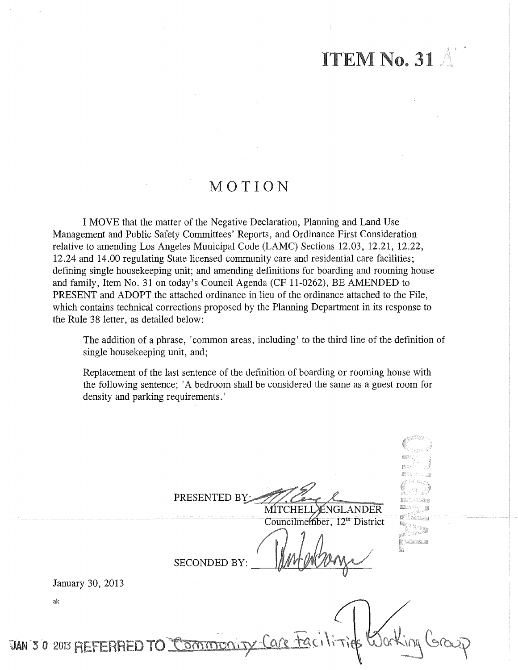# ITEM No. 31

I '

# MOTION

I MOVE that the matter of the Negative Declaration, Planning and Land Use Management and Public Safety Committees' Reports, and Ordinance First Consideration relative to amending Los Angeles Municipal Code (LAMC) Sections 12.03, 12.21, 12.22, 12.24 and 14.00 regulating State licensed community care and residential care facilities; defining single housekeeping unit; and amending definitions for boarding and rooming house and family, Item No. 31 on today's Council Agenda (CF 11-0262), BE AMENDED to PRESENT and ADOPT the attached ordinance in lieu of the ordinance attached to the File, which contains technical corrections proposed by the Planning Department in its response to the Rule 38 letter, as detailed below:

The addition of a phrase, 'common areas, including' to the third line of the definition of single housekeeping unit, and;

Replacement of the last sentence of the definition of boarding or rooming house with the following sentence; 'A bedroom shall be considered the same as a guest room for density and parking requirements.'

PRESENTED BY ÉNGLANDER MITCHELI in Suid Councilmember, 12<sup>th</sup> District Martin .<br>Moggielose **SECONDED BY:** January 30, 2013 ak JAN 3 0 2013 REFERRED TO OMMONT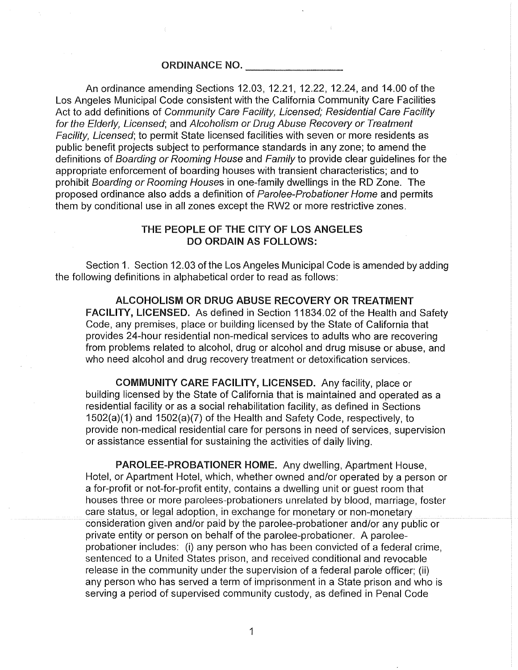#### ORDINANCE NO.

An ordinance amending Sections 12.03, 12.21, 12.22, 12.24, and 14.00 of the Los Angeles Municipal Code consistent with the California Community Care Facilities Act to add definitions of Community Care Facility, Licensed; Residential Care Facility for the Elderly, Licensed; and Alcoholism or Drug Abuse Recovery or Treatment Facility, Licensed; to permit State licensed facilities with seven or more residents as public benefit projects subject to performance standards in any zone; to amend the definitions of Boarding or Rooming House and Family to provide clear quidelines for the appropriate enforcement of boarding houses with transient characteristics; and to prohibit Boarding or Rooming Houses in one-family dwellings in the RD Zone. The proposed ordinance also adds a definition of Parolee-Probationer Home and permits them by conditional use in all zones except the RW2 or more restrictive zones.

## THE PEOPLE OF THE CITY OF LOS ANGELES DO ORDAIN AS FOLLOWS:

Section 1. Section 12.03 of the Los Angeles Municipal Code is amended by adding the following definitions in alphabetical order to read as follows:

ALCOHOLISM OR DRUG ABUSE RECOVERY OR TREATMENT FACILITY, LICENSED. As defined in Section 11834.02 of the Health and Safety Code, any premises, place or building licensed by the State of California that provides 24-hour residential non-medical services to adults who are recovering from problems related to alcohol, drug or alcohol and drug misuse or abuse, and who need alcohol and drug recovery treatment or detoxification services.

COMMUNITY CARE FACILITY, LICENSED. Any facility, place or building licensed by the State of California that is maintained and operated as a residential facility or as a social rehabilitation facility, as defined in Sections 1502(a)(1) and 1502(a)(7) of the Health and Safety Code, respectively, to provide non-medical residential care for persons in need of services, supervision or assistance essential for sustaining the activities of daily living.

PAROLEE-PROBATIONER HOME. Any dwelling, Apartment House, Hotel, or Apartment Hotel, which, whether owned and/or operated by a person or a for-profit or not-for-profit entity, contains a dwelling unit or guest room that houses three or more parolees-probationers unrelated by blood, marriage, foster care status, or legal adoption, in exchange for monetary or non-monetary consideration given and/or paid by the parolee-probationer and/or any public or private entity or person on behalf of the parolee-probationer. A paroleeprobationer includes: (i) any person who has been convicted of a federal crime, sentenced to a United States prison, and received conditional and revocable release in the community under the supervision of a federal parole officer; (ii) any person who has served a term of imprisonment in a State prison and who is serving a period of supervised community custody, as defined in Penal Code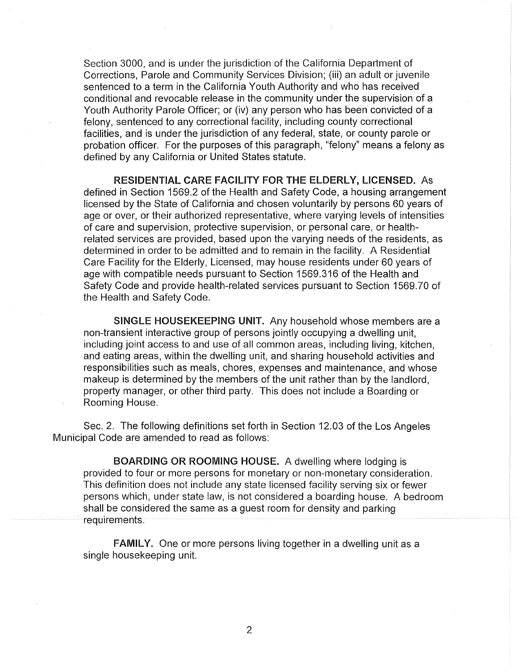Section 3000, and is under the jurisdiction of the California Department of Corrections, Parole and Community Services Division; (iii) an adult or juvenile sentenced to a term in the California Youth Authority and who has received conditional and revocable release in the community under the supervision of a Youth Authority Parole Officer; or (iv) any person who has been convicted of a felony, sentenced to any correctional facility, including county correctional facilities, and is under the jurisdiction of any federal, state, or county parole or probation officer. For the purposes of this paragraph, "felony" means a felony as defined by any California or United States statute.

RESIDENTIAL CARE FACILITY FOR THE ELDERLY, LICENSED. As defined in Section 1569.2 of the Health and Safety Code, a housing arrangement licensed by the State of California and chosen voluntarily by persons 60 years of age or over, or their authorized representative, where varying levels of intensities of care and supervision, protective supervision, or personal care, or healthrelated services are provided, based upon the varying needs of the residents, as determined in order to be admitted and to remain in the facility. A Residential Care Facility for the Elderly, Licensed, may house residents under 60 years of age with compatible needs pursuant to Section 1569.316 of the Health and Safety Code and provide health-related services pursuant to Section 1569.70 of the Health and Safety Code.

SINGLE HOUSEKEEPING UNIT. Any household whose members are a non-transient interactive group of persons jointly occupying a dwelling unit, including joint access to and use of all common areas, including living, kitchen, and eating areas, within the dwelling unit, and sharing household activities and responsibilities such as meals, chores, expenses and maintenance, and whose makeup is determined by the members of the unit rather than by the landlord, property manager, or other third party. This does not include a Boarding or Rooming House.

Sec. 2. The following definitions set forth in Section 12.03 of the Los Angeles Municipal Code are amended to read as follows:

BOARDING OR ROOMING HOUSE. A dwelling where lodging is provided to four or more persons for monetary or non-monetary consideration. This definition does not include any state licensed facility serving six or fewer persons which, under state law, is not considered a boarding house. A bedroom shall be considered the same as a guest room for density and parking requirements.

FAMILY. One or more persons living together in a dwelling unit as a single housekeeping unit.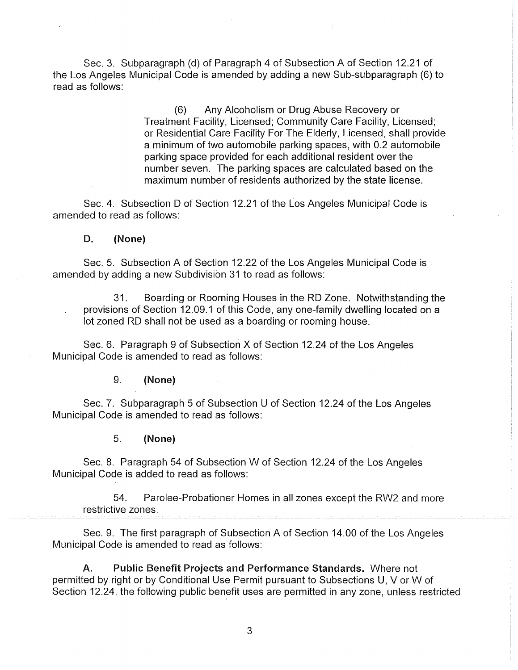Sec. 3. Subparagraph (d) of Paragraph 4 of Subsection A of Section 12.21 of the Los Angeles Municipal Code is amended by adding a new Sub-subparagraph (6) to read as follows:

> (6) Any Alcoholism or Drug Abuse Recovery or Treatment Facility, Licensed; Community Care Facility, Licensed; or Residential Care Facility For The Elderly, Licensed, shall provide a minimum of two automobile parking spaces, with 0.2 automobile parking space provided for each additional resident over the number seven. The parking spaces are calculated based on the maximum number of residents authorized by the state license.

Sec. 4. Subsection D of Section 12.21 of the Los Angeles Municipal Code is amended to read as follows:

#### D. (None)

Sec. 5. Subsection A of Section 12.22 of the Los Angeles Municipal Code is amended by adding a new Subdivision 31 to read as follows:

31. Boarding or Rooming Houses in the RD Zone. Notwithstanding the provisions of Section 12.09.1 of this Code, any one-family dwelling located on a lot zoned RD shall not be used as a boarding or rooming house.

Sec. 6. Paragraph 9 of Subsection X of Section 12.24 of the Los Angeles Municipal Code is amended to read as follows:

### 9. (None)

Sec. 7. Subparagraph 5 of Subsection U of Section 12.24 of the Los Angeles Municipal Code is amended to read as follows:

#### 5. (None)

Sec. 8. Paragraph 54 of Subsection W of Section 12.24 of the Los Angeles Municipal Code is added to read as follows:

54. Parolee-Probationer Homes in all zones except the RW2 and more restrictive zones.

Sec. 9. The first paragraph of Subsection A of Section 14.00 of the Los Angeles Municipal Code is amended to read as follows:

A. Public Benefit Projects and Performance Standards. Where not permitted by right or by Conditional Use Permit pursuant to Subsections U, V or W of Section 12.24, the following public benefit uses are permitted in any zone, unless restricted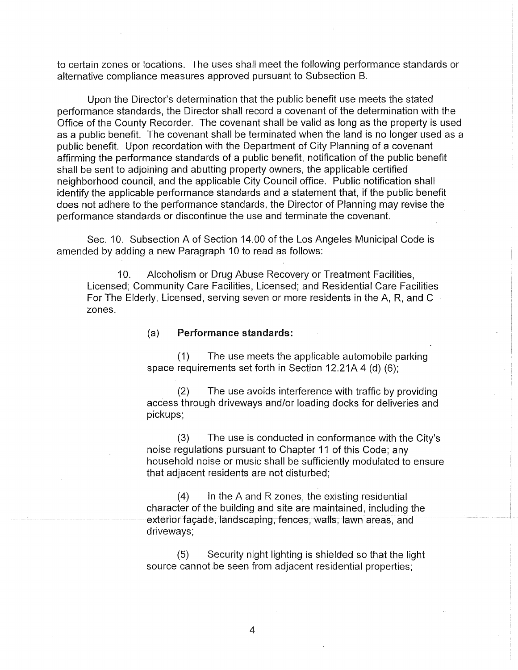to certain zones or locations. The uses shall meet the following performance standards or alternative compliance measures approved pursuant to Subsection B.

Upon the Director's determination that the public benefit use meets the stated performance standards, the Director shall record a covenant of the determination with the Office of the County Recorder. The covenant shall be valid as long as the property is used as a public benefit. The covenant shall be terminated when the land is no longer used as a public benefit. Upon recordation with the Department of City Planning of a covenant affirming the performance standards of a public benefit, notification of the public benefit shall be sent to adjoining and abutting property owners, the applicable certified neighborhood council, and the applicable City Council office. Public notification shall identify the applicable performance standards and a statement that, if the public benefit does not adhere to the performance standards, the Director of Planning may revise the performance standards or discontinue the use and terminate the covenant.

Sec. 10. Subsection A of Section 14.00 of the Los Angeles Municipal Code is amended by adding a new Paragraph 10 to read as follows:

10. Alcoholism or Drug Abuse Recovery or Treatment Facilities, Licensed; Community Care Facilities, Licensed; and Residential Care Facilities For The Elderly, Licensed, serving seven or more residents in the A, R, and C zones.

#### (a) Performance standards:

(1) The use meets the applicable automobile parking space requirements set forth in Section 12.21A 4 (d) (6);

(2) The use avoids interference with traffic by providing access through driveways and/or loading docks for deliveries and pickups;

(3) The use is conducted in conformance with the City's noise regulations pursuant to Chapter 11 of this Code; any household noise or music shall be sufficiently modulated to ensure that adjacent residents are not disturbed;

 $(4)$  In the A and R zones, the existing residential character of the building and site are maintained, including the exterior facade, landscaping, fences, walls, lawn areas, and driveways;

(5) Security night lighting is shielded so that the light source cannot be seen from adjacent residential properties;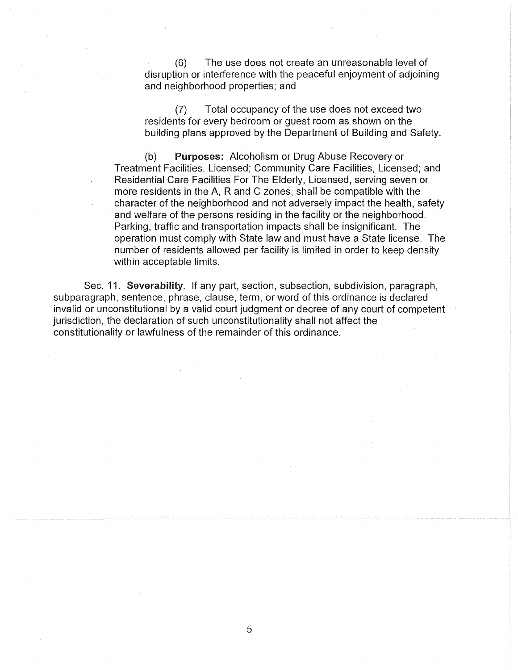(6) The use does not create an unreasonable level of disruption or interference with the peaceful enjoyment of adjoining and neighborhood properties; and

(7) Total occupancy of the use does not exceed two residents for every bedroom or guest room as shown on the building plans approved by the Department of Building and Safety.

(b) Purposes: Alcoholism or Drug Abuse Recovery or Treatment Facilities, Licensed; Community Care Facilities, Licensed; and Residential Care Facilities For The Elderly, Licensed, serving seven or more residents in the A, R and C zones, shall be compatible with the character of the neighborhood and not adversely impact the health, safety and welfare of the persons residing in the facility or the neighborhood. Parking, traffic and transportation impacts shall be insignificant. The operation must comply with State law and must have a State license. The number of residents allowed per facility is limited in order to keep density within acceptable limits.

Sec. 11. Severability. If any part, section, subsection, subdivision, paragraph, subparagraph, sentence, phrase, clause, term, or word of this ordinance is declared invalid or unconstitutional by a valid court judgment or decree of any court of competent jurisdiction, the declaration of such unconstitutionality shall not affect the constitutionality or lawfulness of the remainder of this ordinance.

5